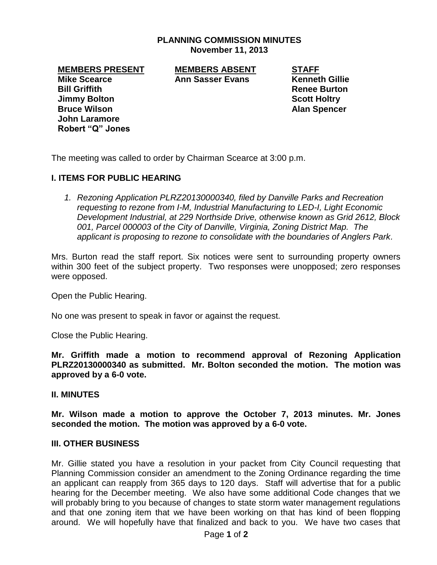## **PLANNING COMMISSION MINUTES November 11, 2013**

**Mike Scearce Ann Sasser Evans Kenneth Gillie Bill Griffith Renee Burton Jimmy Bolton Scott Holtry Bruce Wilson Alan Spencer John Laramore Robert "Q" Jones**

**MEMBERS PRESENT MEMBERS ABSENT STAFF**

The meeting was called to order by Chairman Scearce at 3:00 p.m.

## **I. ITEMS FOR PUBLIC HEARING**

*1. Rezoning Application PLRZ20130000340, filed by Danville Parks and Recreation requesting to rezone from I-M, Industrial Manufacturing to LED-I, Light Economic Development Industrial, at 229 Northside Drive, otherwise known as Grid 2612, Block 001, Parcel 000003 of the City of Danville, Virginia, Zoning District Map. The applicant is proposing to rezone to consolidate with the boundaries of Anglers Park.*

Mrs. Burton read the staff report. Six notices were sent to surrounding property owners within 300 feet of the subject property. Two responses were unopposed; zero responses were opposed.

Open the Public Hearing.

No one was present to speak in favor or against the request.

Close the Public Hearing.

**Mr. Griffith made a motion to recommend approval of Rezoning Application PLRZ20130000340 as submitted. Mr. Bolton seconded the motion. The motion was approved by a 6-0 vote.** 

## **II. MINUTES**

**Mr. Wilson made a motion to approve the October 7, 2013 minutes. Mr. Jones seconded the motion. The motion was approved by a 6-0 vote.**

## **III. OTHER BUSINESS**

Mr. Gillie stated you have a resolution in your packet from City Council requesting that Planning Commission consider an amendment to the Zoning Ordinance regarding the time an applicant can reapply from 365 days to 120 days. Staff will advertise that for a public hearing for the December meeting. We also have some additional Code changes that we will probably bring to you because of changes to state storm water management regulations and that one zoning item that we have been working on that has kind of been flopping around. We will hopefully have that finalized and back to you. We have two cases that